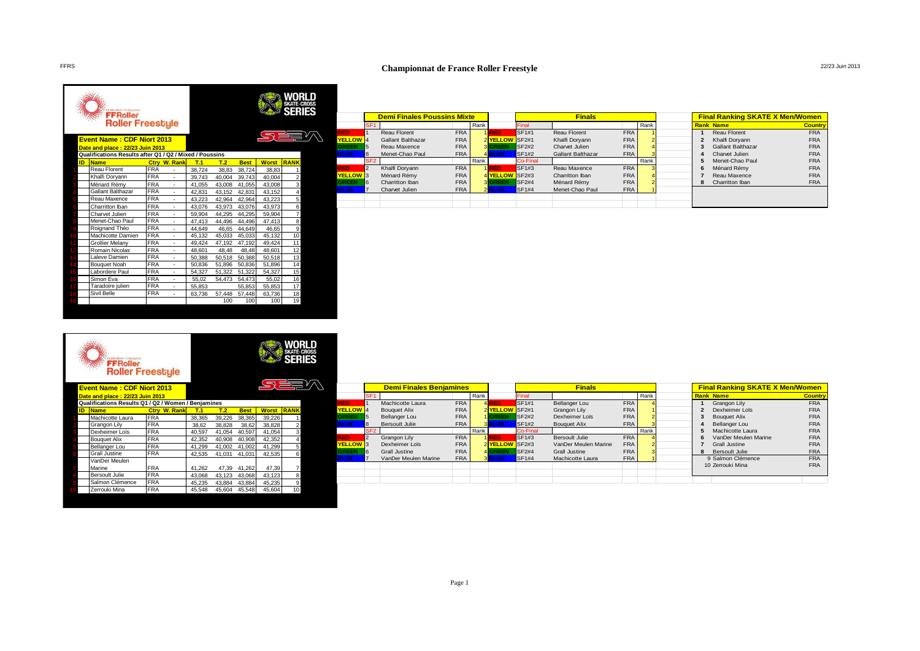# FFRS **Championnat de France Roller Freestyle** 22/23 Juin 2013

|    | Fédération Française<br><b>FFRoller</b><br><b>Roller Freestyle</b> |            |                |        |        |             |              | <b>SERIES</b>  |
|----|--------------------------------------------------------------------|------------|----------------|--------|--------|-------------|--------------|----------------|
|    | <b>Event Name: CDF Niort 2013</b>                                  |            |                |        |        |             | 57 EE        |                |
|    | Date and place: 22/23 Juin 2013                                    |            |                |        |        |             |              |                |
|    | Qualifications Results after Q1 / Q2 / Mixed / Poussins            |            |                |        |        |             |              |                |
| ID | <b>Name</b>                                                        | Ctrv       | <b>W. Rank</b> | T.1    | T.2    | <b>Best</b> | <b>Worst</b> | <b>RANK</b>    |
|    | <b>Reau Florent</b>                                                | <b>FRA</b> |                | 38.724 | 38.83  | 38.724      | 38.83        | 1              |
|    | Khalfi Doryann                                                     | <b>FRA</b> | ä,             | 39,743 | 40,004 | 39,743      | 40,004       | $\overline{2}$ |
|    | Ménard Rémy                                                        | <b>FRA</b> | ä,             | 41,055 | 43,008 | 41,055      | 43,008       | 3              |
|    | Gallant Balthazar                                                  | <b>FRA</b> | ٠              | 42.831 | 43.152 | 42,831      | 43.152       | 4              |
|    | Reau Maxence                                                       | <b>FRA</b> | ä,             | 43.223 | 42.964 | 42,964      | 43,223       | 5              |
|    | Charritton Iban                                                    | <b>FRA</b> | ä,             | 43.076 | 43.973 | 43.076      | 43.973       | 6              |
|    | Charvet Julien                                                     | <b>FRA</b> | ä,             | 59,904 | 44.295 | 44,295      | 59.904       | $\overline{7}$ |
|    | Menet-Chao Paul                                                    | <b>FRA</b> | ٠              | 47.413 | 44.496 | 44.496      | 47.413       | 8              |
|    | Roignand Théo                                                      | <b>FRA</b> | ä,             | 44,649 | 46,65  | 44,649      | 46,65        | 9              |
|    | Machicotte Damien                                                  | <b>FRA</b> | ä,             | 45.132 | 45,033 | 45,033      | 45,132       | 10             |
|    | <b>Grollier Melany</b>                                             | <b>FRA</b> | ä,             | 49.424 | 47.192 | 47,192      | 49.424       | 11             |
|    | Romain Nicolas                                                     | <b>FRA</b> | ä,             | 48.601 | 48.48  | 48,48       | 48,601       | 12             |
|    | Laleve Damien                                                      | <b>FRA</b> | ä,             | 50.388 | 50.518 | 50.388      | 50.518       | 13             |
|    | <b>Bouguet Noah</b>                                                | <b>FRA</b> | ä,             | 50.836 | 51,896 | 50.836      | 51.896       | 14             |
|    | Labordere Paul                                                     | <b>FRA</b> | ä,             | 54.327 | 51,322 | 51,322      | 54.327       | 15             |
|    | Simon Eva                                                          | <b>FRA</b> | ä,             | 55,02  | 54,473 | 54,473      | 55,02        | 16             |
|    | Taradoire julien                                                   | <b>FRA</b> | ä,             | 55,853 |        | 55,853      | 55,853       | 17             |
|    | Sivil Belle                                                        | <b>FRA</b> | ä,             | 63,736 | 57,448 | 57,448      | 63,736       | 18             |
|    |                                                                    |            |                |        | 100    | 100         | 100          | 19             |

|                      |                  | <b>Demi Finales Poussins Mixte</b> |            |      |                |              | <b>Finals</b>       |            |                |   | <b>Final Ranking SKATE X Men/Women</b> |                |
|----------------------|------------------|------------------------------------|------------|------|----------------|--------------|---------------------|------------|----------------|---|----------------------------------------|----------------|
|                      | SF <sub>1</sub>  |                                    |            | Rank |                | Final        |                     |            | Rank           |   | <b>Rank Name</b>                       | <b>Country</b> |
| <b>RED</b>           |                  | Reau Florent                       | <b>FRA</b> |      | 1 RED          | <b>SF1#1</b> | <b>Reau Florent</b> | <b>FRA</b> |                |   | Reau Florent                           | <b>FRA</b>     |
| YELLOW <sup>4</sup>  |                  | Gallant Balthazar                  | <b>FRA</b> |      | 2 YELLOW SF2#1 |              | Khalfi Doryann      | <b>FRA</b> |                |   | Khalfi Doryann                         | <b>FRA</b>     |
| <b>GREEN</b>         | 5                | Reau Maxence                       | <b>FRA</b> |      | <b>3 GREEN</b> | <b>SF2#2</b> | Charvet Julien      | <b>FRA</b> |                |   | Gallant Balthazar                      | <b>FRA</b>     |
| <b>BLUE</b>          | <b>B</b>         | Menet-Chao Paul                    | <b>FRA</b> |      | 4 <b>BLUE</b>  | <b>SF1#2</b> | Gallant Balthazar   | <b>FRA</b> |                | 4 | Charvet Julien                         | <b>FRA</b>     |
|                      | SF <sub>2</sub>  |                                    |            | Rank |                | Co-Final     |                     |            | Rank           | 5 | Menet-Chao Paul                        | <b>FRA</b>     |
| <b>RED</b>           | $\overline{2}$   | Khalfi Doryann                     | <b>FRA</b> |      | 1 RED          | SF1#3        | Reau Maxence        | <b>FRA</b> |                | 6 | Ménard Rémy                            | <b>FRA</b>     |
| YELLOW <sup>13</sup> |                  | Ménard Rémy                        | <b>FRA</b> |      | 4 YELLOW SF2#3 |              | Charritton Iban     | <b>FRA</b> |                |   | Reau Maxence                           | <b>FRA</b>     |
| <b>GREEN</b>         | $6 \overline{6}$ | Charritton Iban                    | <b>FRA</b> |      | <b>3 GREEN</b> | <b>SF2#4</b> | Ménard Rémy         | <b>FRA</b> | $\overline{a}$ | 8 | Charritton Iban                        | <b>FRA</b>     |
| <b>BLUE</b>          |                  | Charvet Julien                     | <b>FRA</b> |      | 2 <b>BLUE</b>  | <b>SF1#4</b> | Menet-Chao Paul     | <b>FRA</b> |                |   |                                        |                |
|                      |                  |                                    |            |      |                |              |                     |            |                |   |                                        |                |
|                      |                  |                                    |            |      |                |              |                     |            |                |   |                                        |                |

|    | <b>Fédération Française</b><br><b>FFRoller</b><br><b>Roller Freestyle</b><br><b>Event Name: CDF Niort 2013</b><br>Date and place: 22/23 Juin 2013<br>Qualifications Results Q1 / Q2 / Women / Beniamines |                        |        |        |             |              | <b>SKATE-CROSS</b><br><b>SERIES</b> |  |
|----|----------------------------------------------------------------------------------------------------------------------------------------------------------------------------------------------------------|------------------------|--------|--------|-------------|--------------|-------------------------------------|--|
| ID | <b>Name</b>                                                                                                                                                                                              | <b>W. Rank</b><br>Ctrv | T.1    | T.2    | <b>Best</b> | <b>Worst</b> | <b>RANK</b>                         |  |
|    | Machicotte Laura                                                                                                                                                                                         | <b>FRA</b>             | 38,365 | 39,226 | 38,365      | 39.226       |                                     |  |
|    | Grangon Lily                                                                                                                                                                                             | <b>FRA</b>             | 38,62  | 38,828 | 38,62       | 38,828       | $\overline{2}$                      |  |
|    | Dexheimer Loïs                                                                                                                                                                                           | <b>FRA</b>             | 40.597 | 41.054 | 40.597      | 41,054       | 3                                   |  |
|    | <b>Bouguet Alix</b>                                                                                                                                                                                      | <b>FRA</b>             | 42.352 | 40.908 | 40.908      | 42,352       | 4                                   |  |
|    | Bellanger Lou                                                                                                                                                                                            | <b>FRA</b>             | 41.299 | 41.002 | 41,002      | 41,299       | 5                                   |  |
|    | Grall Justine                                                                                                                                                                                            | <b>FRA</b>             | 42.535 | 41,031 | 41.031      | 42.535       | 6                                   |  |
|    | VanDer Meulen<br>Marine                                                                                                                                                                                  | <b>FRA</b>             | 41.262 | 47.39  | 41.262      | 47.39        | 7                                   |  |
|    | <b>Bersoult Julie</b>                                                                                                                                                                                    | <b>FRA</b>             | 43.068 | 43,123 | 43,068      | 43.123       | 8                                   |  |
|    | Salmon Clémence                                                                                                                                                                                          | <b>FRA</b>             | 45,235 | 43,884 | 43,884      | 45,235       | 9                                   |  |
|    | Zerrouki Mina                                                                                                                                                                                            | <b>FRA</b>             | 45,548 | 45,604 | 45,548      | 45,604       | 10                                  |  |
|    |                                                                                                                                                                                                          |                        |        |        |             |              |                                     |  |

|                      |                 | <b>Demi Finales Benjamines</b> |            |      |              |              | <b>Finals</b>        |            |                |   | <b>Final Ranking SKATE X Men/Women</b> |                |
|----------------------|-----------------|--------------------------------|------------|------|--------------|--------------|----------------------|------------|----------------|---|----------------------------------------|----------------|
|                      | SF <sub>1</sub> |                                |            | Rank |              | Final        |                      |            | Rank           |   | <b>Rank Name</b>                       | <b>Country</b> |
| RED.                 |                 | Machicotte Laura               | <b>FRA</b> |      | 4RED         | SF1#1        | <b>Bellanger Lou</b> | <b>FRA</b> |                |   | Grangon Lilv                           | <b>FRA</b>     |
| YELLOW <sup>14</sup> |                 | <b>Bouquet Alix</b>            | <b>FRA</b> |      | 2 YELLOW     | SF2#1        | Grangon Lily         | <b>FRA</b> |                |   | Dexheimer Loïs                         | <b>FRA</b>     |
| <b>GREEN</b>         | 5               | Bellanger Lou                  | <b>FRA</b> |      | <b>GREEN</b> | <b>SF2#2</b> | Dexheimer Loïs       | <b>FRA</b> |                |   | <b>Bouquet Alix</b>                    | <b>FRA</b>     |
| <b>BLUE</b>          |                 | Bersoult Julie                 | <b>FRA</b> |      | 3 BLUE       | <b>SF1#2</b> | <b>Bouquet Alix</b>  | <b>FRA</b> |                |   | Bellanger Lou                          | <b>FRA</b>     |
|                      | SF <sub>2</sub> |                                |            | Rank |              | Co-Final     |                      |            | Rank           | 5 | Machicotte Laura                       | <b>FRA</b>     |
| RED.                 | 2               | Grangon Lily                   | <b>FRA</b> |      | 1RED         | SF1#3        | Bersoult Julie       | <b>FRA</b> |                | 6 | VanDer Meulen Marine                   | <b>FRA</b>     |
| YELLOW <sup>13</sup> |                 | Dexheimer Loïs                 | <b>FRA</b> |      | 2 YELLOW     | SF2#3        | VanDer Meulen Marine | <b>FRA</b> | $\overline{2}$ |   | Grall Justine                          | <b>FRA</b>     |
| <b>GREEN</b>         | 6               | Grall Justine                  | <b>FRA</b> |      | 4 GREEN      | <b>SF2#4</b> | <b>Grall Justine</b> | <b>FRA</b> |                | я | <b>Bersoult Julie</b>                  | <b>FRA</b>     |
| <b>BLUE</b>          |                 | VanDer Meulen Marine           | <b>FRA</b> |      | 3 BLUE       | <b>SF1#4</b> | Machicotte Laura     | <b>FRA</b> |                |   | 9 Salmon Clémence                      | <b>FRA</b>     |
|                      |                 |                                |            |      |              |              |                      |            |                |   | 10 Zerrouki Mina                       | <b>FRA</b>     |
|                      |                 |                                |            |      |              |              |                      |            |                |   |                                        |                |
|                      |                 |                                |            |      |              |              |                      |            |                |   |                                        |                |
|                      |                 |                                |            |      |              |              |                      |            |                |   |                                        |                |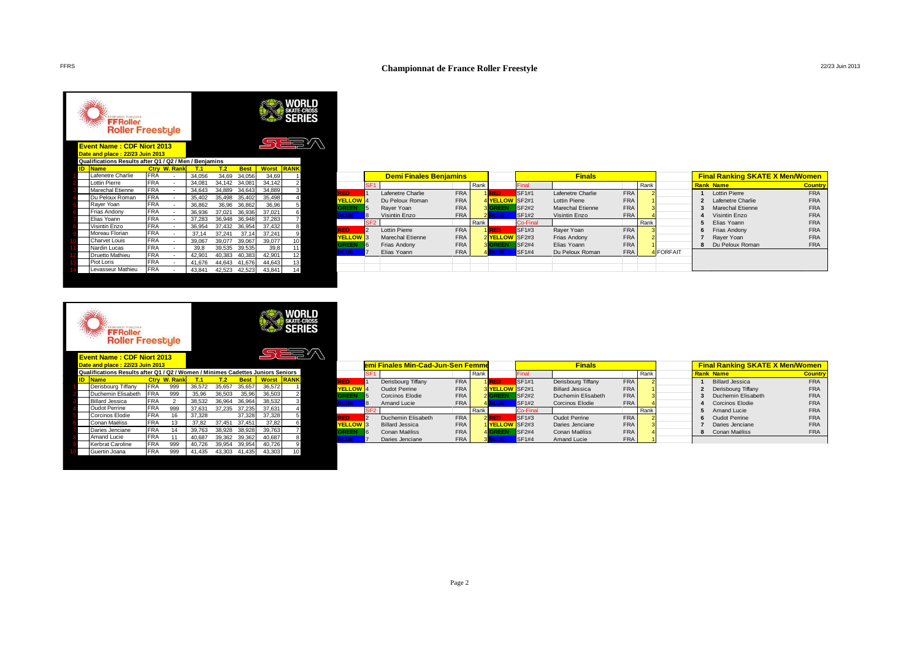# FFRS **Championnat de France Roller Freestyle** 22/23 Juin 2013

|    | Fédération Française<br><b>FFRoller</b><br><b>Roller Freestyle</b><br><b>Event Name: CDF Niort 2013</b><br>Date and place: 22/23 Juin 2013<br>Qualifications Results after Q1 / Q2 / Men / Benjamins |            |                     |        |        |             |              | WORLD<br><b>SKATE-CROSS</b><br><b>SERIES</b><br>∑ <del>ک⊑</del> ∑ |  |
|----|------------------------------------------------------------------------------------------------------------------------------------------------------------------------------------------------------|------------|---------------------|--------|--------|-------------|--------------|-------------------------------------------------------------------|--|
| ID | <b>Name</b>                                                                                                                                                                                          |            | <b>Ctry W. Rank</b> | T.1    | T.2    | <b>Best</b> | <b>Worst</b> | <b>RANK</b>                                                       |  |
|    | Lafenetre Charlie                                                                                                                                                                                    | <b>FRA</b> |                     | 34.056 | 34.69  | 34.056      | 34.69        | 1                                                                 |  |
|    | <b>Lottin Pierre</b>                                                                                                                                                                                 | <b>FRA</b> | ä,                  | 34,081 | 34,142 | 34,081      | 34,142       | $\overline{2}$                                                    |  |
|    | <b>Marechal Etienne</b>                                                                                                                                                                              | <b>FRA</b> | ä,                  | 34,643 | 34,889 | 34,643      | 34,889       | 3                                                                 |  |
|    | Du Peloux Roman                                                                                                                                                                                      | <b>FRA</b> | ٠                   | 35.402 | 35,498 | 35,402      | 35,498       | 4                                                                 |  |
|    | Rayer Yoan                                                                                                                                                                                           | <b>FRA</b> | ÷.                  | 36,862 | 36,96  | 36,862      | 36,96        | 5                                                                 |  |
|    | Frias Andony                                                                                                                                                                                         | <b>FRA</b> | ٠                   | 36,936 | 37,021 | 36,936      | 37.021       | 6                                                                 |  |
|    | Elias Yoann                                                                                                                                                                                          | <b>FRA</b> | ä,                  | 37,283 | 36,948 | 36,948      | 37,283       | 7                                                                 |  |
|    | Visintin Enzo                                                                                                                                                                                        | <b>FRA</b> | ä,                  | 36,954 | 37,432 | 36,954      | 37,432       | 8                                                                 |  |
|    | Moreau Florian                                                                                                                                                                                       | <b>FRA</b> | ä,                  | 37,14  | 37,241 | 37,14       | 37,241       | 9                                                                 |  |
|    | Charvet Louis                                                                                                                                                                                        | <b>FRA</b> | ä,                  | 39,067 | 39,077 | 39,067      | 39,077       | 10                                                                |  |
|    | Nardin Lucas                                                                                                                                                                                         | <b>FRA</b> | ä,                  | 39,8   | 39,535 | 39,535      | 39,8         | 11                                                                |  |
|    | Druetto Mathieu                                                                                                                                                                                      | <b>FRA</b> | ٠                   | 42,901 | 40,383 | 40,383      | 42,901       | 12                                                                |  |
|    | Piot Loris                                                                                                                                                                                           | <b>FRA</b> | ٠                   | 41,676 | 44,643 | 41,676      | 44,643       | 13                                                                |  |
|    | Levasseur Mathieu                                                                                                                                                                                    | <b>FRA</b> | ٠                   | 43.841 | 42,523 | 42,523      | 43.841       | 14                                                                |  |

|                      |                 | <b>Demi Finales Benjamins</b> |            |      |                       |                 | <b>Finals</b>        |            |                |           |   | <b>Final Ranking SKATE X Men/Women</b> |                |
|----------------------|-----------------|-------------------------------|------------|------|-----------------------|-----------------|----------------------|------------|----------------|-----------|---|----------------------------------------|----------------|
|                      | SF <sub>1</sub> |                               |            | Rank |                       | Final           |                      |            | Rank           |           |   | <b>Rank Name</b>                       | <b>Country</b> |
| <b>RED</b>           |                 | Lafenetre Charlie             | <b>FRA</b> |      | 1 RED                 | SF1#1           | Lafenetre Charlie    | <b>FRA</b> |                |           |   | <b>Lottin Pierre</b>                   | <b>FRA</b>     |
| YELLOW <sup>14</sup> |                 | Du Peloux Roman               | <b>FRA</b> |      | 4 <b>YELLOW</b> SF2#1 |                 | <b>Lottin Pierre</b> | <b>FRA</b> |                |           | 2 | Lafenetre Charlie                      | <b>FRA</b>     |
| <b>GREEN</b>         | 5               | Raver Yoan                    | <b>FRA</b> |      | <b>3 GREEN</b>        | <b>SF2#2</b>    | Marechal Etienne     | <b>FRA</b> | 3              |           |   | Marechal Etienne                       | <b>FRA</b>     |
| <b>BLUE</b>          |                 | Visintin Enzo                 | <b>FRA</b> |      | 2BLUE                 | <b>SF1#2</b>    | Visintin Enzo        | <b>FRA</b> |                |           | 4 | Visintin Enzo                          | <b>FRA</b>     |
|                      | SF <sub>2</sub> |                               |            | Rank |                       | <b>Co-Final</b> |                      |            | Rank           |           | 5 | Elias Yoann                            | <b>FRA</b>     |
| <b>RED</b>           | 2               | <b>Lottin Pierre</b>          | <b>FRA</b> |      | 1RED                  | SF1#3           | Raver Yoan           | <b>FRA</b> | 3              |           | 6 | Frias Andony                           | <b>FRA</b>     |
| YELLOW <sup>13</sup> |                 | <b>Marechal Etienne</b>       | <b>FRA</b> |      | 2 <b>YELLOW</b> SF2#3 |                 | Frias Andony         | <b>FRA</b> | $\overline{2}$ |           |   | Raver Yoan                             | <b>FRA</b>     |
| <b>GREEN</b>         | 6               | Frias Andony                  | <b>FRA</b> |      | <b>3 GREEN</b>        | <b>SF2#4</b>    | Elias Yoann          | <b>FRA</b> |                |           | 8 | Du Peloux Roman                        | <b>FRA</b>     |
| <b>BLUE</b>          |                 | Elias Yoann                   | <b>FRA</b> |      | 4 BLUE                | <b>SF1#4</b>    | Du Peloux Roman      | <b>FRA</b> |                | 4 FORFAIT |   |                                        |                |
|                      |                 |                               |            |      |                       |                 |                      |            |                |           |   |                                        |                |
|                      |                 |                               |            |      |                       |                 |                      |            |                |           |   |                                        |                |

|    | <b>Fédération Française</b><br><b>FFRoller</b><br><b>Roller Freestyle</b>                      |            |                     |            |        |             |              | SERIES         |
|----|------------------------------------------------------------------------------------------------|------------|---------------------|------------|--------|-------------|--------------|----------------|
|    | <b>Event Name: CDF Niort 2013</b>                                                              |            |                     |            |        |             |              |                |
|    | Date and place: 22/23 Juin 2013                                                                |            |                     |            |        |             |              |                |
| ID | Qualifications Results after Q1 / Q2 / Women / Minimes Cadettes Juniors Seniors<br><b>Name</b> |            | <b>Ctry W. Rank</b> | <b>T.1</b> | T.2    | <b>Best</b> | <b>Worst</b> | <b>RANK</b>    |
|    | Derisbourg Tiffany                                                                             | <b>FRA</b> | 999                 | 36.572     | 35.657 | 35.657      | 36.572       |                |
|    | Duchemin Elisabeth                                                                             | <b>FRA</b> | 999                 | 35.96      | 36.503 | 35.96       | 36,503       | $\overline{2}$ |
|    | <b>Billard Jessica</b>                                                                         | <b>FRA</b> | $\overline{2}$      | 38.532     | 36.964 | 36.964      | 38.532       | 3              |
|    | <b>Oudot Perrine</b>                                                                           | <b>FRA</b> | 999                 | 37.631     | 37.235 | 37,235      | 37.631       | 4              |
|    | Corcinos Elodie                                                                                | <b>FRA</b> | 16                  | 37.328     |        | 37.328      | 37.328       | 5              |
|    | Conan Maëliss                                                                                  | <b>FRA</b> | 13                  | 37.82      | 37,451 | 37,451      | 37,82        | 6              |
|    | Daries Jenciane                                                                                | <b>FRA</b> | 14                  | 39.763     | 38.928 | 38,928      | 39.763       | 7              |
|    | Amand Lucie                                                                                    | FRA        | 11                  | 40.687     | 39.362 | 39.362      | 40.687       | 8              |
|    | Kerbrat Caroline                                                                               | <b>FRA</b> | 999                 | 40.726     | 39,954 | 39.954      | 40.726       | 9              |
|    | Guertin Joana                                                                                  | FRA        | 999                 | 41.435     | 43.303 | 41.435      | 43.303       | 10             |

|                            |                 | emi Finales Min-Cad-Jun-Sen Femme |            |      | <b>Finals</b>         |              |                        |            |      |   | <b>Final Ranking SKATE X Men/Women</b> |                |
|----------------------------|-----------------|-----------------------------------|------------|------|-----------------------|--------------|------------------------|------------|------|---|----------------------------------------|----------------|
|                            | SF <sub>1</sub> |                                   |            | Rank |                       | Final        |                        |            | Rank |   | <b>Rank Name</b>                       | <b>Country</b> |
| RED.                       |                 | Derisbourg Tiffany                | <b>FRA</b> |      | 1 RED                 | <b>SF1#1</b> | Derisbourg Tiffany     | <b>FRA</b> |      |   | <b>Billard Jessica</b>                 | <b>FRA</b>     |
| YELLOW <sup>1</sup> 4      |                 | <b>Oudot Perrine</b>              | <b>FRA</b> |      | 3 <b>YELLOW</b> SF2#1 |              | <b>Billard Jessica</b> | <b>FRA</b> |      |   | Derisbourg Tiffany                     | <b>FRA</b>     |
| <b>GREEN</b>               | 5               | Corcinos Elodie                   | <b>FRA</b> |      | 2 GREEN               | <b>SF2#2</b> | Duchemin Elisabeth     | <b>FRA</b> |      |   | Duchemin Elisabeth                     | <b>FRA</b>     |
| <b>BLUE</b>                | 8               | Amand Lucie                       | <b>FRA</b> |      | 4 BLUE                | <b>SF1#2</b> | Corcinos Elodie        | <b>FRA</b> |      | а | <b>Corcinos Elodie</b>                 | <b>FRA</b>     |
|                            | SF <sub>2</sub> |                                   |            | Rank |                       | Co-Final     |                        |            | Rank | 5 | Amand Lucie                            | <b>FRA</b>     |
| RED.                       |                 | Duchemin Elisabeth                | <b>FRA</b> |      | $2$ RED               | SF1#3        | <b>Oudot Perrine</b>   | <b>FRA</b> |      | 6 | Oudot Perrine                          | <b>FRA</b>     |
| <b>YELLOW</b> <sub>3</sub> |                 | Billard Jessica                   | <b>FRA</b> |      | 1 <b>YELLOW</b> SF2#3 |              | Daries Jenciane        | <b>FRA</b> |      |   | Daries Jenciane                        | <b>FRA</b>     |
| <b>GREEN</b>               | 6               | Conan Maëliss                     | <b>FRA</b> |      | 4 GREEN               | <b>SF2#4</b> | Conan Maëliss          | <b>FRA</b> |      | 8 | Conan Maëliss                          | <b>FRA</b>     |
| <b>BLUE</b>                |                 | Daries Jenciane                   | <b>FRA</b> |      | <b>3 BLUE</b>         | <b>SF1#4</b> | Amand Lucie            | <b>FRA</b> |      |   |                                        |                |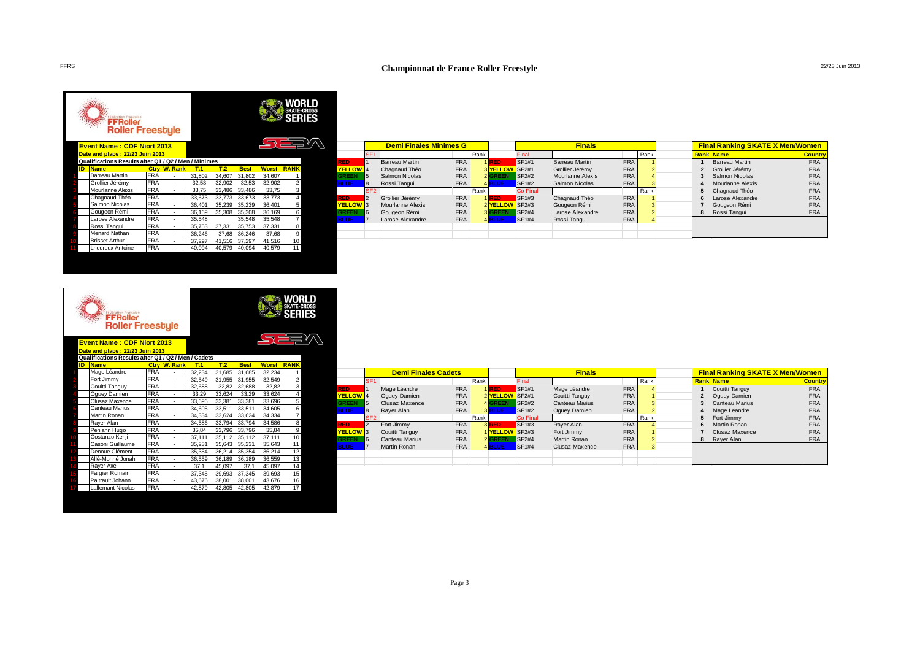## **Championnat de France Roller Freestyle** 22/23 Juin 2013

### **WORLD**<br>SKATE-CROSS<br>**SERIES** FFRoller<br>Roller Freestyle 오르코 **Event Name : CDF Niort 2013 Date and place : 22/23 Juin 2013 Qualifications Results after Q1 / Q2 / Men / Minimes ID Name Ctry W. Rank T.1 T.2 Best Worst RANK** 1 Barreau Martin FRA - 31,802 34,607 31,802 34,607 1 2 Grollier Jérémy FRA - 32,53 32,902 32,53 32,902 2<br>2 Mourlanne Alexis FRA - 33,75 33,486 33,486 33,75 3 3 Mourlanne Alexis FRA - 33,75 33,486 33,486 33,75 3 Chagnaud Théo FRA - 33,673 33,773 33,673 33,773 4<br>
Salmon Nicolas FRA - 36,401 35,239 35,239 36,401 5 FRA - 36,401 35,239 35,239 36,401 5<br>
Gougeon Rémi FRA - 36,401 35,239 35,239 36,401 5<br>
Gougeon Rémi FRA - 36,169 35,308 35,308 36,169 6 FRA - 36,169 35,308 35,308 36,169<br>FRA - 35,548 35,548 35,548 1 Larose Alexandre FRA - 35,548 35,548 35,548 7<br>
Rossi Tangui FRA - 35,753 37,331 35,753 37,331 8<br>
Menard Nathan FRA - 36,248 37,68 36,246 37,68 9<br>
Brisset Arthur FRA - 37,297 41,516 37,297 41,516 10<br>
Lheureux Antoine FRA 8 Rossi Tangui FRA - 35,753 37,331 35,753 37,331 8 Menard Nathan FRA<br>Brisset Arthur FRA 10 Brisset Arthur FRA - 37,297 41,516 37,297 41,516<br>
Lheureux Antoine FRA - 40,094 40,579 40,094 40,579 11 Lheureux Antoine FRA - 40,094 40,579 40,094 40,579 11

|                     |                 | <b>Demi Finales Minimes G</b> |            |      |                       |                   | <b>Finals</b>    |            |                |   | <b>Final Ranking SKATE X Men/Women</b> |                |
|---------------------|-----------------|-------------------------------|------------|------|-----------------------|-------------------|------------------|------------|----------------|---|----------------------------------------|----------------|
|                     | SF <sub>1</sub> |                               |            | Rank |                       | Final             |                  |            | Rank           |   | <b>Rank Name</b>                       | <b>Country</b> |
| <b>RED</b>          |                 | Barreau Martin                | <b>FRA</b> |      | 1RED                  | SF <sub>1#1</sub> | Barreau Martin   | <b>FRA</b> |                |   | <b>Barreau Martin</b>                  | <b>FRA</b>     |
| <b>YELLOW</b> 4     |                 | Chagnaud Théo                 | <b>FRA</b> |      | 3 <b>YELLOW</b> SF2#1 |                   | Grollier Jérémy  | <b>FRA</b> |                |   | Grollier Jérémy                        | <b>FRA</b>     |
| <b>GREEN</b>        | 5               | Salmon Nicolas                | <b>FRA</b> |      | 2 GREEN               | <b>SF2#2</b>      | Mourlanne Alexis | <b>FRA</b> | 4              |   | Salmon Nicolas                         | <b>FRA</b>     |
| <b>BLUE</b>         |                 | Rossi Tangui                  | <b>FRA</b> |      | 4 BLUE                | <b>SF1#2</b>      | Salmon Nicolas   | <b>FRA</b> |                |   | Mourlanne Alexis                       | <b>FRA</b>     |
|                     | SF <sub>2</sub> |                               |            | Rank |                       | Co-Final          |                  |            | Rank           |   | Chagnaud Théo                          | <b>FRA</b>     |
| <b>RED</b>          | 2               | Grollier Jérémy               | <b>FRA</b> |      | 1RED                  | SF1#3             | Chagnaud Théo    | <b>FRA</b> |                |   | Larose Alexandre                       | <b>FRA</b>     |
| YELLOW <sup>3</sup> |                 | Mourlanne Alexis              | <b>FRA</b> |      | 2 <b>YELLOW</b> SF2#3 |                   | Gougeon Rémi     | <b>FRA</b> | 3              |   | Gougeon Rémi                           | <b>FRA</b>     |
| <b>GREEN</b>        | 6               | Gougeon Rémi                  | <b>FRA</b> |      | <b>3 GREEN</b>        | <b>SF2#4</b>      | Larose Alexandre | <b>FRA</b> | $\overline{2}$ | я | Rossi Tangui                           | <b>FRA</b>     |
| <b>BLUE</b>         |                 | Larose Alexandre              | <b>FRA</b> |      | 4 BLUE                | SF1#4             | Rossi Tangui     | <b>FRA</b> |                |   |                                        |                |
|                     |                 |                               |            |      |                       |                   |                  |            |                |   |                                        |                |
|                     |                 |                               |            |      |                       |                   |                  |            |                |   |                                        |                |

|    | <b>Fédération Française</b><br><b>FFRoller</b><br><b>Roller Freestyle</b> |            |                |        |        |             |              | <b>SERIES</b>  |  |
|----|---------------------------------------------------------------------------|------------|----------------|--------|--------|-------------|--------------|----------------|--|
|    | <b>Event Name: CDF Niort 2013</b><br>Date and place: 22/23 Juin 2013      |            |                |        |        |             |              |                |  |
|    | Qualifications Results after Q1 / Q2 / Men / Cadets                       |            |                |        |        |             |              |                |  |
| ID | <b>Name</b>                                                               | Ctrv       | <b>W. Rank</b> | T.1    | T.2    | <b>Best</b> | <b>Worst</b> | <b>RANK</b>    |  |
|    | Mage Léandre                                                              | <b>FRA</b> |                | 32.234 | 31.685 | 31.685      | 32.234       | 1              |  |
|    | Fort Jimmy                                                                | <b>FRA</b> |                | 32,549 | 31,955 | 31,955      | 32,549       | $\overline{2}$ |  |
|    | Couitti Tanguy                                                            | <b>FRA</b> | ä,             | 32.688 | 32.82  | 32.688      | 32.82        | 3              |  |
|    | Oquey Damien                                                              | <b>FRA</b> | ä,             | 33.29  | 33,624 | 33.29       | 33.624       | 4              |  |
|    | Clusaz Maxence                                                            | <b>FRA</b> | ä,             | 33.696 | 33,381 | 33.381      | 33,696       | 5              |  |
|    | Canteau Marius                                                            | <b>FRA</b> | ä,             | 34.605 | 33,511 | 33,511      | 34,605       | 6              |  |
|    | Martin Ronan                                                              | <b>FRA</b> | ä,             | 34.334 | 33.624 | 33.624      | 34.334       | $\overline{7}$ |  |
|    | Raver Alan                                                                | <b>FRA</b> | ä,             | 34.586 | 33.794 | 33.794      | 34.586       | 8              |  |
|    | Penlann Hugo                                                              | <b>FRA</b> | ä,             | 35.84  | 33.796 | 33.796      | 35.84        | 9              |  |
|    | Costanzo Kenii                                                            | <b>FRA</b> | ä,             | 37.111 | 35.112 | 35.112      | 37,111       | 10             |  |
|    | Casoni Guillaume                                                          | <b>FRA</b> | ä,             | 35.231 | 35.643 | 35.231      | 35.643       | 11             |  |
|    | Denoue Clément                                                            | <b>FRA</b> | ä,             | 35.354 | 36.214 | 35.354      | 36.214       | 12             |  |
|    | Allé-Monné Jonah                                                          | <b>FRA</b> | ä,             | 36.559 | 36,189 | 36,189      | 36,559       | 13             |  |
|    | Raver Axel                                                                | <b>FRA</b> | ä,             | 37.1   | 45.097 | 37.1        | 45.097       | 14             |  |
|    | Fargier Romain                                                            | <b>FRA</b> | Ĭ.             | 37.345 | 39.693 | 37,345      | 39,693       | 15             |  |
|    | Paitrault Johann                                                          | <b>FRA</b> | ٠              | 43.676 | 38.001 | 38,001      | 43.676       | 16             |  |
|    | Lallemant Nicolas                                                         | <b>FRA</b> | ä,             | 42.879 | 42.805 | 42.805      | 42.879       | 17             |  |
|    |                                                                           |            |                |        |        |             |              |                |  |

|                       |                  | <b>Demi Finales Cadets</b> |            | <b>Finals</b> |                       |              |                       |            | <b>Final Ranking SKATE X Men/Women</b> |   |                       |                |
|-----------------------|------------------|----------------------------|------------|---------------|-----------------------|--------------|-----------------------|------------|----------------------------------------|---|-----------------------|----------------|
|                       | SF <sub>1</sub>  |                            |            | Rank          |                       | Final        |                       |            | Rank                                   |   | <b>Rank Name</b>      | <b>Country</b> |
| <b>RED</b>            |                  | Mage Léandre               | <b>FRA</b> |               | 1RED                  | SF1#1        | Mage Léandre          | <b>FRA</b> |                                        |   | Couitti Tanguy        | <b>FRA</b>     |
| YELLOW <sup>1</sup> 4 |                  | Oquey Damien               | <b>FRA</b> |               | 2 <b>YELLOW</b> SF2#1 |              | Couitti Tanguy        | <b>FRA</b> |                                        |   | Oquey Damien          | <b>FRA</b>     |
| <b>GREEN</b>          | 15               | Clusaz Maxence             | <b>FRA</b> |               | 4 GREEN               | <b>SF2#2</b> | <b>Canteau Marius</b> | <b>FRA</b> |                                        |   | <b>Canteau Marius</b> | <b>FRA</b>     |
| <b>BLUE</b>           |                  | Raver Alan                 | <b>FRA</b> |               | 3 BLUE                | <b>SF1#2</b> | Oquey Damien          | <b>FRA</b> |                                        | 4 | Mage Léandre          | <b>FRA</b>     |
|                       | SF <sub>2</sub>  |                            |            | Rank          |                       | Co-Final     |                       |            | Rank                                   | 5 | Fort Jimmy            | <b>FRA</b>     |
| <b>RED</b>            | $\overline{2}$   | Fort Jimmy                 | <b>FRA</b> |               | 3 RED                 | SF1#3        | Rayer Alan            | <b>FRA</b> |                                        | 6 | <b>Martin Ronan</b>   | <b>FRA</b>     |
| YELLOW <sup>13</sup>  |                  | Couitti Tanguy             | <b>FRA</b> |               | 1 <b>YELLOW</b> SF2#3 |              | Fort Jimmy            | <b>FRA</b> |                                        |   | Clusaz Maxence        | <b>FRA</b>     |
| <b>GREEN</b>          | $6 \overline{6}$ | <b>Canteau Marius</b>      | <b>FRA</b> |               | 2 GREEN               | <b>SF2#4</b> | Martin Ronan          | <b>FRA</b> |                                        | 8 | Raver Alan            | <b>FRA</b>     |
| <b>BLUE</b>           |                  | Martin Ronan               | <b>FRA</b> |               | 4 BLUE                | <b>SF1#4</b> | Clusaz Maxence        | <b>FRA</b> |                                        |   |                       |                |
|                       |                  |                            |            |               |                       |              |                       |            |                                        |   |                       |                |
|                       |                  |                            |            |               |                       |              |                       |            |                                        |   |                       |                |